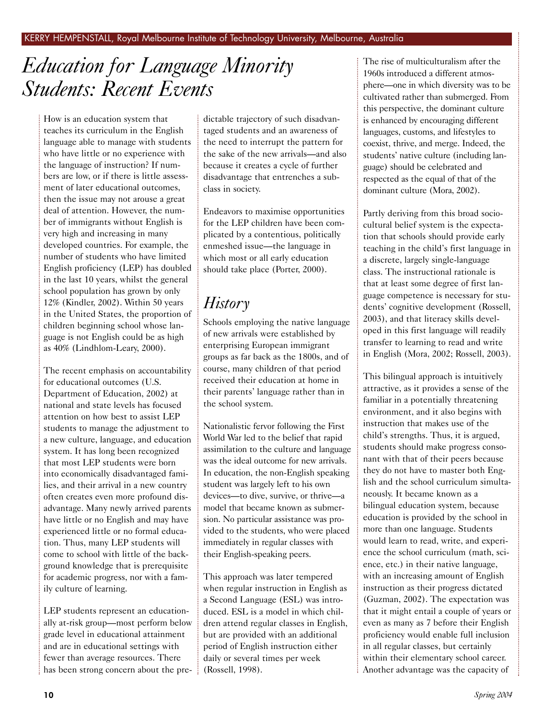# *Education for Language Minority Students: Recent Events*

How is an education system that teaches its curriculum in the English language able to manage with students who have little or no experience with the language of instruction? If numbers are low, or if there is little assessment of later educational outcomes, then the issue may not arouse a great deal of attention. However, the number of immigrants without English is very high and increasing in many developed countries. For example, the number of students who have limited English proficiency (LEP) has doubled in the last 10 years, whilst the general school population has grown by only 12% (Kindler, 2002). Within 50 years in the United States, the proportion of children beginning school whose language is not English could be as high as 40% (Lindhlom-Leary, 2000).

The recent emphasis on accountability for educational outcomes (U.S. Department of Education, 2002) at national and state levels has focused attention on how best to assist LEP students to manage the adjustment to a new culture, language, and education system. It has long been recognized that most LEP students were born into economically disadvantaged families, and their arrival in a new country often creates even more profound disadvantage. Many newly arrived parents have little or no English and may have experienced little or no formal education. Thus, many LEP students will come to school with little of the background knowledge that is prerequisite for academic progress, nor with a family culture of learning.

LEP students represent an educationally at-risk group—most perform below grade level in educational attainment and are in educational settings with fewer than average resources. There has been strong concern about the predictable trajectory of such disadvantaged students and an awareness of the need to interrupt the pattern for the sake of the new arrivals—and also because it creates a cycle of further disadvantage that entrenches a subclass in society.

Endeavors to maximise opportunities for the LEP children have been complicated by a contentious, politically enmeshed issue—the language in which most or all early education should take place (Porter, 2000).

# *History*

Schools employing the native language of new arrivals were established by enterprising European immigrant groups as far back as the 1800s, and of course, many children of that period received their education at home in their parents' language rather than in the school system.

Nationalistic fervor following the First World War led to the belief that rapid assimilation to the culture and language was the ideal outcome for new arrivals. In education, the non-English speaking student was largely left to his own devices—to dive, survive, or thrive—a model that became known as submersion. No particular assistance was provided to the students, who were placed immediately in regular classes with their English-speaking peers.

This approach was later tempered when regular instruction in English as a Second Language (ESL) was introduced. ESL is a model in which children attend regular classes in English, but are provided with an additional period of English instruction either daily or several times per week (Rossell, 1998).

The rise of multiculturalism after the 1960s introduced a different atmosphere—one in which diversity was to be cultivated rather than submerged. From this perspective, the dominant culture is enhanced by encouraging different languages, customs, and lifestyles to coexist, thrive, and merge. Indeed, the students' native culture (including language) should be celebrated and respected as the equal of that of the dominant culture (Mora, 2002).

Partly deriving from this broad sociocultural belief system is the expectation that schools should provide early teaching in the child's first language in a discrete, largely single-language class. The instructional rationale is that at least some degree of first language competence is necessary for students' cognitive development (Rossell, 2003), and that literacy skills developed in this first language will readily transfer to learning to read and write in English (Mora, 2002; Rossell, 2003).

This bilingual approach is intuitively attractive, as it provides a sense of the familiar in a potentially threatening environment, and it also begins with instruction that makes use of the child's strengths. Thus, it is argued, students should make progress consonant with that of their peers because they do not have to master both English and the school curriculum simultaneously. It became known as a bilingual education system, because education is provided by the school in more than one language. Students would learn to read, write, and experience the school curriculum (math, science, etc.) in their native language, with an increasing amount of English instruction as their progress dictated (Guzman, 2002). The expectation was that it might entail a couple of years or even as many as 7 before their English proficiency would enable full inclusion in all regular classes, but certainly within their elementary school career. Another advantage was the capacity of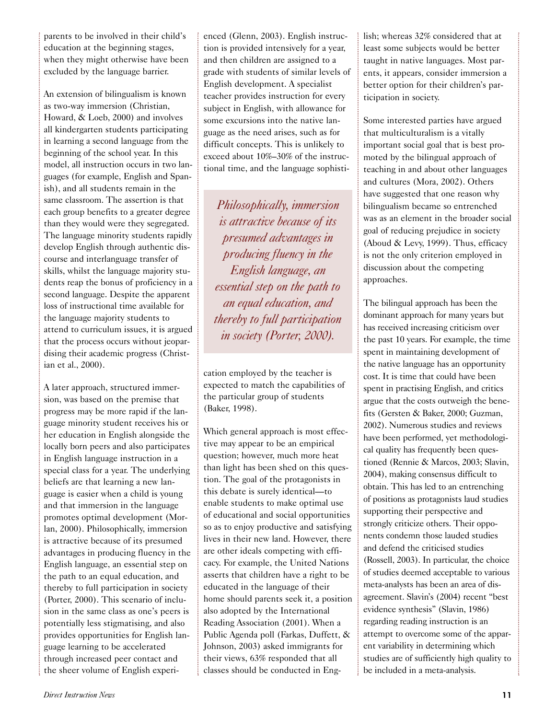parents to be involved in their child's education at the beginning stages, when they might otherwise have been excluded by the language barrier.

An extension of bilingualism is known as two-way immersion (Christian, Howard, & Loeb, 2000) and involves all kindergarten students participating in learning a second language from the beginning of the school year. In this model, all instruction occurs in two languages (for example, English and Spanish), and all students remain in the same classroom. The assertion is that each group benefits to a greater degree than they would were they segregated. The language minority students rapidly develop English through authentic discourse and interlanguage transfer of skills, whilst the language majority students reap the bonus of proficiency in a second language. Despite the apparent loss of instructional time available for the language majority students to attend to curriculum issues, it is argued that the process occurs without jeopardising their academic progress (Christian et al., 2000).

A later approach, structured immersion, was based on the premise that progress may be more rapid if the language minority student receives his or her education in English alongside the locally born peers and also participates in English language instruction in a special class for a year. The underlying beliefs are that learning a new language is easier when a child is young and that immersion in the language promotes optimal development (Morlan, 2000). Philosophically, immersion is attractive because of its presumed advantages in producing fluency in the English language, an essential step on the path to an equal education, and thereby to full participation in society (Porter, 2000). This scenario of inclusion in the same class as one's peers is potentially less stigmatising, and also provides opportunities for English language learning to be accelerated through increased peer contact and the sheer volume of English experienced (Glenn, 2003). English instruction is provided intensively for a year, and then children are assigned to a grade with students of similar levels of English development. A specialist teacher provides instruction for every subject in English, with allowance for some excursions into the native language as the need arises, such as for difficult concepts. This is unlikely to exceed about 10%–30% of the instructional time, and the language sophisti-

*Philosophically, immersion is attractive because of its presumed advantages in producing fluency in the English language, an essential step on the path to an equal education, and thereby to full participation in society (Porter, 2000).* 

cation employed by the teacher is expected to match the capabilities of the particular group of students (Baker, 1998).

Which general approach is most effective may appear to be an empirical question; however, much more heat than light has been shed on this question. The goal of the protagonists in this debate is surely identical—to enable students to make optimal use of educational and social opportunities so as to enjoy productive and satisfying lives in their new land. However, there are other ideals competing with efficacy. For example, the United Nations asserts that children have a right to be educated in the language of their home should parents seek it, a position also adopted by the International Reading Association (2001). When a Public Agenda poll (Farkas, Duffett, & Johnson, 2003) asked immigrants for their views, 63% responded that all classes should be conducted in English; whereas 32% considered that at least some subjects would be better taught in native languages. Most parents, it appears, consider immersion a better option for their children's participation in society.

Some interested parties have argued that multiculturalism is a vitally important social goal that is best promoted by the bilingual approach of teaching in and about other languages and cultures (Mora, 2002). Others have suggested that one reason why bilingualism became so entrenched was as an element in the broader social goal of reducing prejudice in society (Aboud & Levy, 1999). Thus, efficacy is not the only criterion employed in discussion about the competing approaches.

The bilingual approach has been the dominant approach for many years but has received increasing criticism over the past 10 years. For example, the time spent in maintaining development of the native language has an opportunity cost. It is time that could have been spent in practising English, and critics argue that the costs outweigh the benefits (Gersten & Baker, 2000; Guzman, 2002). Numerous studies and reviews have been performed, yet methodological quality has frequently been questioned (Rennie & Marcos, 2003; Slavin, 2004), making consensus difficult to obtain. This has led to an entrenching of positions as protagonists laud studies supporting their perspective and strongly criticize others. Their opponents condemn those lauded studies and defend the criticised studies (Rossell, 2003). In particular, the choice of studies deemed acceptable to various meta-analysts has been an area of disagreement. Slavin's (2004) recent "best evidence synthesis" (Slavin, 1986) regarding reading instruction is an attempt to overcome some of the apparent variability in determining which studies are of sufficiently high quality to be included in a meta-analysis.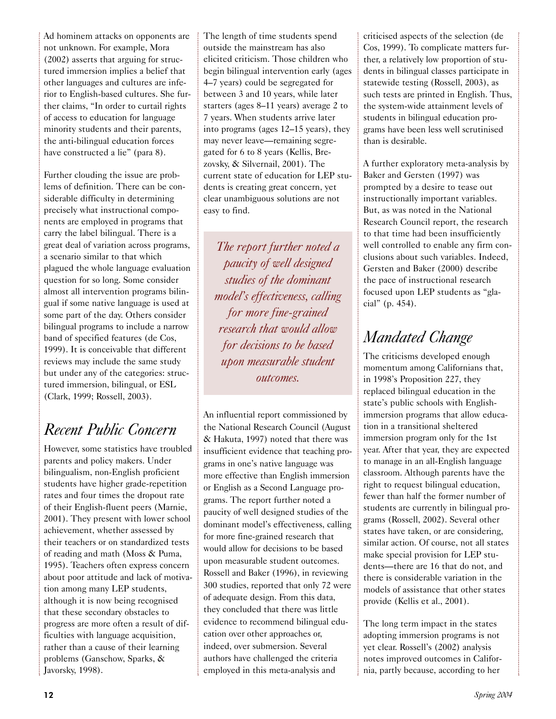Ad hominem attacks on opponents are not unknown. For example, Mora (2002) asserts that arguing for structured immersion implies a belief that other languages and cultures are inferior to English-based cultures. She further claims, "In order to curtail rights of access to education for language minority students and their parents, the anti-bilingual education forces have constructed a lie" (para 8).

Further clouding the issue are problems of definition. There can be considerable difficulty in determining precisely what instructional components are employed in programs that carry the label bilingual. There is a great deal of variation across programs, a scenario similar to that which plagued the whole language evaluation question for so long. Some consider almost all intervention programs bilingual if some native language is used at some part of the day. Others consider bilingual programs to include a narrow band of specified features (de Cos, 1999). It is conceivable that different reviews may include the same study but under any of the categories: structured immersion, bilingual, or ESL (Clark, 1999; Rossell, 2003).

# *Recent Public Concern*

However, some statistics have troubled parents and policy makers. Under bilingualism, non-English proficient students have higher grade-repetition rates and four times the dropout rate of their English-fluent peers (Marnie, 2001). They present with lower school achievement, whether assessed by their teachers or on standardized tests of reading and math (Moss & Puma, 1995). Teachers often express concern about poor attitude and lack of motivation among many LEP students, although it is now being recognised that these secondary obstacles to progress are more often a result of difficulties with language acquisition, rather than a cause of their learning problems (Ganschow, Sparks, & Javorsky, 1998).

The length of time students spend outside the mainstream has also elicited criticism. Those children who begin bilingual intervention early (ages 4–7 years) could be segregated for between 3 and 10 years, while later starters (ages 8–11 years) average 2 to 7 years. When students arrive later into programs (ages 12–15 years), they may never leave—remaining segregated for 6 to 8 years (Kellis, Brezovsky, & Silvernail, 2001). The current state of education for LEP students is creating great concern, yet clear unambiguous solutions are not easy to find.

*The report further noted a paucity of well designed studies of the dominant model's effectiveness, calling for more fine-grained research that would allow for decisions to be based upon measurable student outcomes.* 

An influential report commissioned by the National Research Council (August & Hakuta, 1997) noted that there was insufficient evidence that teaching programs in one's native language was more effective than English immersion or English as a Second Language programs. The report further noted a paucity of well designed studies of the dominant model's effectiveness, calling for more fine-grained research that would allow for decisions to be based upon measurable student outcomes. Rossell and Baker (1996), in reviewing 300 studies, reported that only 72 were of adequate design. From this data, they concluded that there was little evidence to recommend bilingual education over other approaches or, indeed, over submersion. Several authors have challenged the criteria employed in this meta-analysis and

criticised aspects of the selection (de Cos, 1999). To complicate matters further, a relatively low proportion of students in bilingual classes participate in statewide testing (Rossell, 2003), as such tests are printed in English. Thus, the system-wide attainment levels of students in bilingual education programs have been less well scrutinised than is desirable.

A further exploratory meta-analysis by Baker and Gersten (1997) was prompted by a desire to tease out instructionally important variables. But, as was noted in the National Research Council report, the research to that time had been insufficiently well controlled to enable any firm conclusions about such variables. Indeed, Gersten and Baker (2000) describe the pace of instructional research focused upon LEP students as "glacial" (p. 454).

## *Mandated Change*

The criticisms developed enough momentum among Californians that, in 1998's Proposition 227, they replaced bilingual education in the state's public schools with Englishimmersion programs that allow education in a transitional sheltered immersion program only for the 1st year. After that year, they are expected to manage in an all-English language classroom. Although parents have the right to request bilingual education, fewer than half the former number of students are currently in bilingual programs (Rossell, 2002). Several other states have taken, or are considering, similar action. Of course, not all states make special provision for LEP students—there are 16 that do not, and there is considerable variation in the models of assistance that other states provide (Kellis et al., 2001).

The long term impact in the states adopting immersion programs is not yet clear. Rossell's (2002) analysis notes improved outcomes in California, partly because, according to her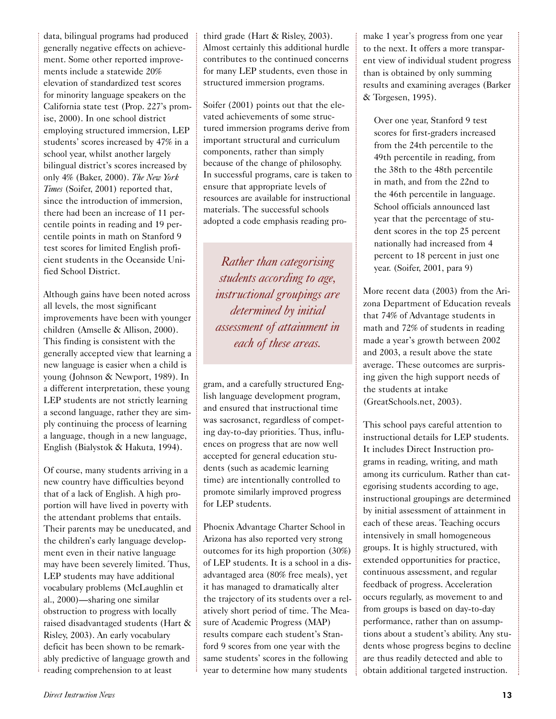data, bilingual programs had produced generally negative effects on achievement. Some other reported improvements include a statewide 20% elevation of standardized test scores for minority language speakers on the California state test (Prop. 227's promise, 2000). In one school district employing structured immersion, LEP students' scores increased by 47% in a school year, whilst another largely bilingual district's scores increased by only 4% (Baker, 2000). *The New York Times* (Soifer, 2001) reported that, since the introduction of immersion, there had been an increase of 11 percentile points in reading and 19 percentile points in math on Stanford 9 test scores for limited English proficient students in the Oceanside Unified School District.

Although gains have been noted across all levels, the most significant improvements have been with younger children (Amselle & Allison, 2000). This finding is consistent with the generally accepted view that learning a new language is easier when a child is young (Johnson & Newport, 1989). In a different interpretation, these young LEP students are not strictly learning a second language, rather they are simply continuing the process of learning a language, though in a new language, English (Bialystok & Hakuta, 1994).

Of course, many students arriving in a new country have difficulties beyond that of a lack of English. A high proportion will have lived in poverty with the attendant problems that entails. Their parents may be uneducated, and the children's early language development even in their native language may have been severely limited. Thus, LEP students may have additional vocabulary problems (McLaughlin et al., 2000)—sharing one similar obstruction to progress with locally raised disadvantaged students (Hart & Risley, 2003). An early vocabulary deficit has been shown to be remarkably predictive of language growth and reading comprehension to at least

third grade (Hart & Risley, 2003). Almost certainly this additional hurdle contributes to the continued concerns for many LEP students, even those in structured immersion programs.

Soifer (2001) points out that the elevated achievements of some structured immersion programs derive from important structural and curriculum components, rather than simply because of the change of philosophy. In successful programs, care is taken to ensure that appropriate levels of resources are available for instructional materials. The successful schools adopted a code emphasis reading pro-

*Rather than categorising students according to age, instructional groupings are determined by initial assessment of attainment in each of these areas.*

gram, and a carefully structured English language development program, and ensured that instructional time was sacrosanct, regardless of competing day-to-day priorities. Thus, influences on progress that are now well accepted for general education students (such as academic learning time) are intentionally controlled to promote similarly improved progress for LEP students.

Phoenix Advantage Charter School in Arizona has also reported very strong outcomes for its high proportion (30%) of LEP students. It is a school in a disadvantaged area (80% free meals), yet it has managed to dramatically alter the trajectory of its students over a relatively short period of time. The Measure of Academic Progress (MAP) results compare each student's Stanford 9 scores from one year with the same students' scores in the following year to determine how many students

make 1 year's progress from one year to the next. It offers a more transparent view of individual student progress than is obtained by only summing results and examining averages (Barker & Torgesen, 1995).

Over one year, Stanford 9 test scores for first-graders increased from the 24th percentile to the 49th percentile in reading, from the 38th to the 48th percentile in math, and from the 22nd to the 46th percentile in language. School officials announced last year that the percentage of student scores in the top 25 percent nationally had increased from 4 percent to 18 percent in just one year. (Soifer, 2001, para 9)

More recent data (2003) from the Arizona Department of Education reveals that 74% of Advantage students in math and 72% of students in reading made a year's growth between 2002 and 2003, a result above the state average. These outcomes are surprising given the high support needs of the students at intake (GreatSchools.net, 2003).

This school pays careful attention to instructional details for LEP students. It includes Direct Instruction programs in reading, writing, and math among its curriculum. Rather than categorising students according to age, instructional groupings are determined by initial assessment of attainment in each of these areas. Teaching occurs intensively in small homogeneous groups. It is highly structured, with extended opportunities for practice, continuous assessment, and regular feedback of progress. Acceleration occurs regularly, as movement to and from groups is based on day-to-day performance, rather than on assumptions about a student's ability. Any students whose progress begins to decline are thus readily detected and able to obtain additional targeted instruction.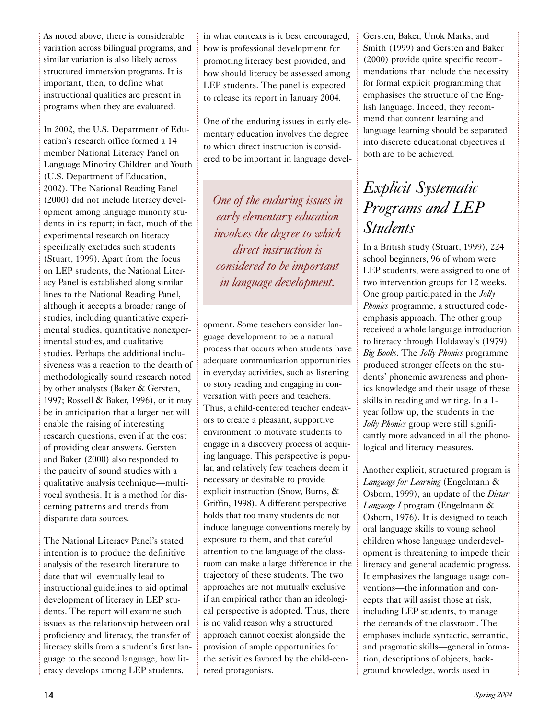As noted above, there is considerable variation across bilingual programs, and similar variation is also likely across structured immersion programs. It is important, then, to define what instructional qualities are present in programs when they are evaluated.

In 2002, the U.S. Department of Education's research office formed a 14 member National Literacy Panel on Language Minority Children and Youth (U.S. Department of Education, 2002). The National Reading Panel (2000) did not include literacy development among language minority students in its report; in fact, much of the experimental research on literacy specifically excludes such students (Stuart, 1999). Apart from the focus on LEP students, the National Literacy Panel is established along similar lines to the National Reading Panel, although it accepts a broader range of studies, including quantitative experimental studies, quantitative nonexperimental studies, and qualitative studies. Perhaps the additional inclusiveness was a reaction to the dearth of methodologically sound research noted by other analysts (Baker & Gersten, 1997; Rossell & Baker, 1996), or it may be in anticipation that a larger net will enable the raising of interesting research questions, even if at the cost of providing clear answers. Gersten and Baker (2000) also responded to the paucity of sound studies with a qualitative analysis technique—multivocal synthesis. It is a method for discerning patterns and trends from disparate data sources.

The National Literacy Panel's stated intention is to produce the definitive analysis of the research literature to date that will eventually lead to instructional guidelines to aid optimal development of literacy in LEP students. The report will examine such issues as the relationship between oral proficiency and literacy, the transfer of literacy skills from a student's first language to the second language, how literacy develops among LEP students,

in what contexts is it best encouraged, how is professional development for promoting literacy best provided, and how should literacy be assessed among LEP students. The panel is expected to release its report in January 2004.

One of the enduring issues in early elementary education involves the degree to which direct instruction is considered to be important in language devel-

*One of the enduring issues in early elementary education involves the degree to which direct instruction is considered to be important in language development.*

opment. Some teachers consider language development to be a natural process that occurs when students have adequate communication opportunities in everyday activities, such as listening to story reading and engaging in conversation with peers and teachers. Thus, a child-centered teacher endeavors to create a pleasant, supportive environment to motivate students to engage in a discovery process of acquiring language. This perspective is popular, and relatively few teachers deem it necessary or desirable to provide explicit instruction (Snow, Burns, & Griffin, 1998). A different perspective holds that too many students do not induce language conventions merely by exposure to them, and that careful attention to the language of the classroom can make a large difference in the trajectory of these students. The two approaches are not mutually exclusive if an empirical rather than an ideological perspective is adopted. Thus, there is no valid reason why a structured approach cannot coexist alongside the provision of ample opportunities for the activities favored by the child-centered protagonists.

Gersten, Baker, Unok Marks, and Smith (1999) and Gersten and Baker (2000) provide quite specific recommendations that include the necessity for formal explicit programming that emphasises the structure of the English language. Indeed, they recommend that content learning and language learning should be separated into discrete educational objectives if both are to be achieved.

### *Explicit Systematic Programs and LEP Students*

In a British study (Stuart, 1999), 224 school beginners, 96 of whom were LEP students, were assigned to one of two intervention groups for 12 weeks. One group participated in the *Jolly Phonics* programme, a structured codeemphasis approach. The other group received a whole language introduction to literacy through Holdaway's (1979) *Big Books*. The *Jolly Phonics* programme produced stronger effects on the students' phonemic awareness and phonics knowledge and their usage of these skills in reading and writing. In a 1 year follow up, the students in the *Jolly Phonics* group were still significantly more advanced in all the phonological and literacy measures.

Another explicit, structured program is *Language for Learning* (Engelmann & Osborn, 1999), an update of the *Distar Language I* program (Engelmann & Osborn, 1976). It is designed to teach oral language skills to young school children whose language underdevelopment is threatening to impede their literacy and general academic progress. It emphasizes the language usage conventions—the information and concepts that will assist those at risk, including LEP students, to manage the demands of the classroom. The emphases include syntactic, semantic, and pragmatic skills—general information, descriptions of objects, background knowledge, words used in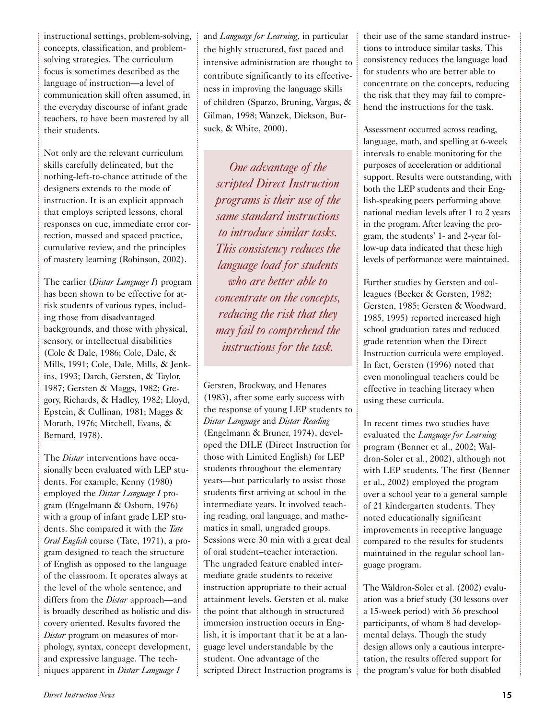instructional settings, problem-solving, concepts, classification, and problemsolving strategies. The curriculum focus is sometimes described as the language of instruction—a level of communication skill often assumed, in the everyday discourse of infant grade teachers, to have been mastered by all their students.

Not only are the relevant curriculum skills carefully delineated, but the nothing-left-to-chance attitude of the designers extends to the mode of instruction. It is an explicit approach that employs scripted lessons, choral responses on cue, immediate error correction, massed and spaced practice, cumulative review, and the principles of mastery learning (Robinson, 2002).

The earlier (*Distar Language I*) program has been shown to be effective for atrisk students of various types, including those from disadvantaged backgrounds, and those with physical, sensory, or intellectual disabilities (Cole & Dale, 1986; Cole, Dale, & Mills, 1991; Cole, Dale, Mills, & Jenkins, 1993; Darch, Gersten, & Taylor, 1987; Gersten & Maggs, 1982; Gregory, Richards, & Hadley, 1982; Lloyd, Epstein, & Cullinan, 1981; Maggs & Morath, 1976; Mitchell, Evans, & Bernard, 1978).

The *Distar* interventions have occasionally been evaluated with LEP students. For example, Kenny (1980) employed the *Distar Language I* program (Engelmann & Osborn, 1976) with a group of infant grade LEP students. She compared it with the *Tate Oral English* course (Tate, 1971), a program designed to teach the structure of English as opposed to the language of the classroom. It operates always at the level of the whole sentence, and differs from the *Distar* approach—and is broadly described as holistic and discovery oriented. Results favored the *Distar* program on measures of morphology, syntax, concept development, and expressive language. The techniques apparent in *Distar Language 1*

and *Language for Learning*, in particular the highly structured, fast paced and intensive administration are thought to contribute significantly to its effectiveness in improving the language skills of children (Sparzo, Bruning, Vargas, & Gilman, 1998; Wanzek, Dickson, Bursuck, & White, 2000).

*One advantage of the scripted Direct Instruction programs is their use of the same standard instructions to introduce similar tasks. This consistency reduces the language load for students who are better able to concentrate on the concepts, reducing the risk that they may fail to comprehend the instructions for the task.*

Gersten, Brockway, and Henares (1983), after some early success with the response of young LEP students to *Distar Language* and *Distar Reading* (Engelmann & Bruner, 1974), developed the DILE (Direct Instruction for those with Limited English) for LEP students throughout the elementary years—but particularly to assist those students first arriving at school in the intermediate years. It involved teaching reading, oral language, and mathematics in small, ungraded groups. Sessions were 30 min with a great deal of oral student–teacher interaction. The ungraded feature enabled intermediate grade students to receive instruction appropriate to their actual attainment levels. Gersten et al. make the point that although in structured immersion instruction occurs in English, it is important that it be at a language level understandable by the student. One advantage of the scripted Direct Instruction programs is

their use of the same standard instructions to introduce similar tasks. This consistency reduces the language load for students who are better able to concentrate on the concepts, reducing the risk that they may fail to comprehend the instructions for the task.

Assessment occurred across reading, language, math, and spelling at 6-week intervals to enable monitoring for the purposes of acceleration or additional support. Results were outstanding, with both the LEP students and their English-speaking peers performing above national median levels after 1 to 2 years in the program. After leaving the program, the students' 1- and 2-year follow-up data indicated that these high levels of performance were maintained.

Further studies by Gersten and colleagues (Becker & Gersten, 1982; Gersten, 1985; Gersten & Woodward, 1985, 1995) reported increased high school graduation rates and reduced grade retention when the Direct Instruction curricula were employed. In fact, Gersten (1996) noted that even monolingual teachers could be effective in teaching literacy when using these curricula.

In recent times two studies have evaluated the *Language for Learning* program (Benner et al., 2002; Waldron-Soler et al., 2002), although not with LEP students. The first (Benner et al., 2002) employed the program over a school year to a general sample of 21 kindergarten students. They noted educationally significant improvements in receptive language compared to the results for students maintained in the regular school language program.

The Waldron-Soler et al. (2002) evaluation was a brief study (30 lessons over a 15-week period) with 36 preschool participants, of whom 8 had developmental delays. Though the study design allows only a cautious interpretation, the results offered support for the program's value for both disabled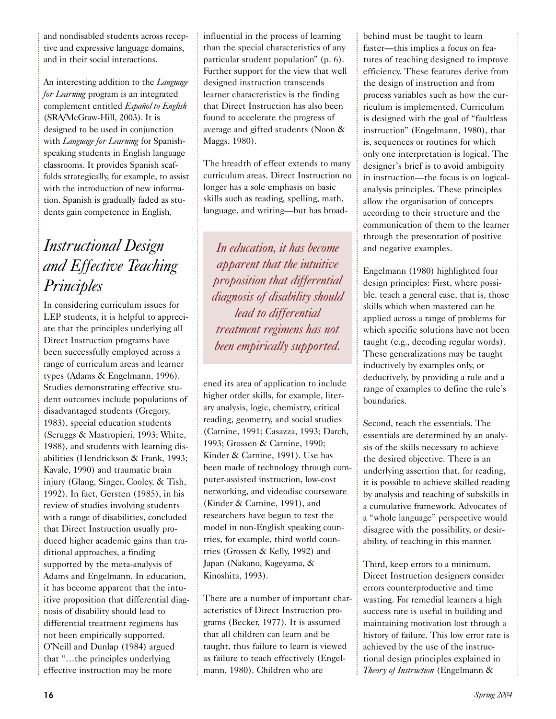and nondisabled students across receptive and expressive language domains, and in their social interactions.

An interesting addition to the *Language for Learning* program is an integrated complement entitled *Español to English* (SRA/McGraw-Hill, 2003). It is designed to be used in conjunction with *Language for Learning* for Spanishspeaking students in English language classrooms. It provides Spanish scaffolds strategically, for example, to assist with the introduction of new information. Spanish is gradually faded as students gain competence in English.

# *Instructional Design and Effective Teaching Principles*

In considering curriculum issues for LEP students, it is helpful to appreciate that the principles underlying all Direct Instruction programs have been successfully employed across a range of curriculum areas and learner types (Adams & Engelmann, 1996). Studies demonstrating effective student outcomes include populations of disadvantaged students (Gregory, 1983), special education students (Scruggs & Mastropieri, 1993; White, 1988), and students with learning disabilities (Hendrickson & Frank, 1993; Kavale, 1990) and traumatic brain injury (Glang, Singer, Cooley, & Tish, 1992). In fact, Gersten (1985), in his review of studies involving students with a range of disabilities, concluded that Direct Instruction usually produced higher academic gains than traditional approaches, a finding supported by the meta-analysis of Adams and Engelmann. In education, it has become apparent that the intuitive proposition that differential diagnosis of disability should lead to differential treatment regimens has not been empirically supported. O'Neill and Dunlap (1984) argued that "…the principles underlying effective instruction may be more

influential in the process of learning than the special characteristics of any particular student population" (p. 6). Further support for the view that well designed instruction transcends learner characteristics is the finding that Direct Instruction has also been found to accelerate the progress of average and gifted students (Noon & Maggs, 1980).

The breadth of effect extends to many curriculum areas. Direct Instruction no longer has a sole emphasis on basic skills such as reading, spelling, math, language, and writing—but has broad-

*In education, it has become apparent that the intuitive proposition that differential diagnosis of disability should lead to differential treatment regimens has not been empirically supported.* 

ened its area of application to include higher order skills, for example, literary analysis, logic, chemistry, critical reading, geometry, and social studies (Carnine, 1991; Casazza, 1993; Darch, 1993; Grossen & Carnine, 1990; Kinder & Carnine, 1991). Use has been made of technology through computer-assisted instruction, low-cost networking, and videodisc courseware (Kinder & Carnine, 1991), and researchers have begun to test the model in non-English speaking countries, for example, third world countries (Grossen & Kelly, 1992) and Japan (Nakano, Kageyama, & Kinoshita, 1993).

There are a number of important characteristics of Direct Instruction programs (Becker, 1977). It is assumed that all children can learn and be taught, thus failure to learn is viewed as failure to teach effectively (Engelmann, 1980). Children who are

behind must be taught to learn faster—this implies a focus on features of teaching designed to improve efficiency. These features derive from the design of instruction and from process variables such as how the curriculum is implemented. Curriculum is designed with the goal of "faultless instruction" (Engelmann, 1980), that is, sequences or routines for which only one interpretation is logical. The designer's brief is to avoid ambiguity in instruction—the focus is on logicalanalysis principles. These principles allow the organisation of concepts according to their structure and the communication of them to the learner through the presentation of positive and negative examples.

Engelmann (1980) highlighted four design principles: First, where possible, teach a general case, that is, those skills which when mastered can be applied across a range of problems for which specific solutions have not been taught (e.g., decoding regular words). These generalizations may be taught inductively by examples only, or deductively, by providing a rule and a range of examples to define the rule's boundaries.

Second, teach the essentials. The essentials are determined by an analysis of the skills necessary to achieve the desired objective. There is an underlying assertion that, for reading, it is possible to achieve skilled reading by analysis and teaching of subskills in a cumulative framework. Advocates of a "whole language" perspective would disagree with the possibility, or desirability, of teaching in this manner.

Third, keep errors to a minimum. Direct Instruction designers consider errors counterproductive and time wasting. For remedial learners a high success rate is useful in building and maintaining motivation lost through a history of failure. This low error rate is achieved by the use of the instructional design principles explained in *Theory of Instruction* (Engelmann &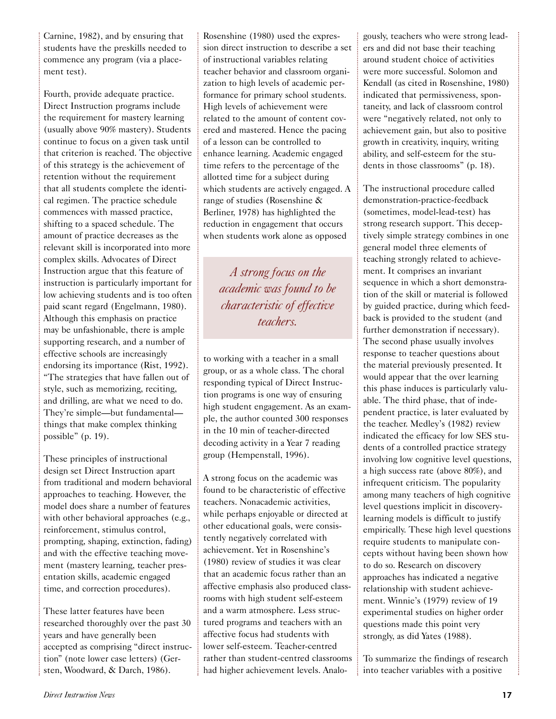Carnine, 1982), and by ensuring that students have the preskills needed to commence any program (via a placement test).

Fourth, provide adequate practice. Direct Instruction programs include the requirement for mastery learning (usually above 90% mastery). Students continue to focus on a given task until that criterion is reached. The objective of this strategy is the achievement of retention without the requirement that all students complete the identical regimen. The practice schedule commences with massed practice, shifting to a spaced schedule. The amount of practice decreases as the relevant skill is incorporated into more complex skills. Advocates of Direct Instruction argue that this feature of instruction is particularly important for low achieving students and is too often paid scant regard (Engelmann, 1980). Although this emphasis on practice may be unfashionable, there is ample supporting research, and a number of effective schools are increasingly endorsing its importance (Rist, 1992). "The strategies that have fallen out of style, such as memorizing, reciting, and drilling, are what we need to do. They're simple—but fundamental things that make complex thinking possible" (p. 19).

These principles of instructional design set Direct Instruction apart from traditional and modern behavioral approaches to teaching. However, the model does share a number of features with other behavioral approaches (e.g., reinforcement, stimulus control, prompting, shaping, extinction, fading) and with the effective teaching movement (mastery learning, teacher presentation skills, academic engaged time, and correction procedures).

These latter features have been researched thoroughly over the past 30 years and have generally been accepted as comprising "direct instruction" (note lower case letters) (Gersten, Woodward, & Darch, 1986).

Rosenshine (1980) used the expression direct instruction to describe a set of instructional variables relating teacher behavior and classroom organization to high levels of academic performance for primary school students. High levels of achievement were related to the amount of content covered and mastered. Hence the pacing of a lesson can be controlled to enhance learning. Academic engaged time refers to the percentage of the allotted time for a subject during which students are actively engaged. A range of studies (Rosenshine & Berliner, 1978) has highlighted the reduction in engagement that occurs when students work alone as opposed

*A strong focus on the academic was found to be characteristic of effective teachers.*

to working with a teacher in a small group, or as a whole class. The choral responding typical of Direct Instruction programs is one way of ensuring high student engagement. As an example, the author counted 300 responses in the 10 min of teacher-directed decoding activity in a Year 7 reading group (Hempenstall, 1996).

A strong focus on the academic was found to be characteristic of effective teachers. Nonacademic activities, while perhaps enjoyable or directed at other educational goals, were consistently negatively correlated with achievement. Yet in Rosenshine's (1980) review of studies it was clear that an academic focus rather than an affective emphasis also produced classrooms with high student self-esteem and a warm atmosphere. Less structured programs and teachers with an affective focus had students with lower self-esteem. Teacher-centred rather than student-centred classrooms had higher achievement levels. Analogously, teachers who were strong leaders and did not base their teaching around student choice of activities were more successful. Solomon and Kendall (as cited in Rosenshine, 1980) indicated that permissiveness, spontaneity, and lack of classroom control were "negatively related, not only to achievement gain, but also to positive growth in creativity, inquiry, writing ability, and self-esteem for the students in those classrooms" (p. 18).

The instructional procedure called demonstration-practice-feedback (sometimes, model-lead-test) has strong research support. This deceptively simple strategy combines in one general model three elements of teaching strongly related to achievement. It comprises an invariant sequence in which a short demonstration of the skill or material is followed by guided practice, during which feedback is provided to the student (and further demonstration if necessary). The second phase usually involves response to teacher questions about the material previously presented. It would appear that the over learning this phase induces is particularly valuable. The third phase, that of independent practice, is later evaluated by the teacher. Medley's (1982) review indicated the efficacy for low SES students of a controlled practice strategy involving low cognitive level questions, a high success rate (above 80%), and infrequent criticism. The popularity among many teachers of high cognitive level questions implicit in discoverylearning models is difficult to justify empirically. These high level questions require students to manipulate concepts without having been shown how to do so. Research on discovery approaches has indicated a negative relationship with student achievement. Winnie's (1979) review of 19 experimental studies on higher order questions made this point very strongly, as did Yates (1988).

To summarize the findings of research into teacher variables with a positive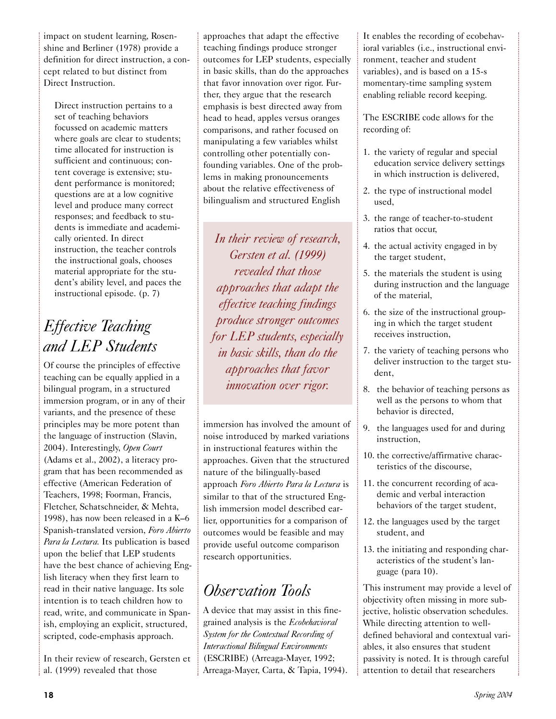impact on student learning, Rosenshine and Berliner (1978) provide a definition for direct instruction, a concept related to but distinct from Direct Instruction.

Direct instruction pertains to a set of teaching behaviors focussed on academic matters where goals are clear to students; time allocated for instruction is sufficient and continuous; content coverage is extensive; student performance is monitored; questions are at a low cognitive level and produce many correct responses; and feedback to students is immediate and academically oriented. In direct instruction, the teacher controls the instructional goals, chooses material appropriate for the student's ability level, and paces the instructional episode. (p. 7)

# *Effective Teaching and LEP Students*

Of course the principles of effective teaching can be equally applied in a bilingual program, in a structured immersion program, or in any of their variants, and the presence of these principles may be more potent than the language of instruction (Slavin, 2004). Interestingly, *Open Court* (Adams et al., 2002), a literacy program that has been recommended as effective (American Federation of Teachers, 1998; Foorman, Francis, Fletcher, Schatschneider, & Mehta, 1998), has now been released in a K–6 Spanish-translated version, *Foro Abierto Para la Lectura.* Its publication is based upon the belief that LEP students have the best chance of achieving English literacy when they first learn to read in their native language. Its sole intention is to teach children how to read, write, and communicate in Spanish, employing an explicit, structured, scripted, code-emphasis approach.

In their review of research, Gersten et al. (1999) revealed that those

approaches that adapt the effective teaching findings produce stronger outcomes for LEP students, especially in basic skills, than do the approaches that favor innovation over rigor. Further, they argue that the research emphasis is best directed away from head to head, apples versus oranges comparisons, and rather focused on manipulating a few variables whilst controlling other potentially confounding variables. One of the problems in making pronouncements about the relative effectiveness of bilingualism and structured English

*In their review of research, Gersten et al. (1999) revealed that those approaches that adapt the effective teaching findings produce stronger outcomes for LEP students, especially in basic skills, than do the approaches that favor innovation over rigor.* 

immersion has involved the amount of noise introduced by marked variations in instructional features within the approaches. Given that the structured nature of the bilingually-based approach *Foro Abierto Para la Lectura* is similar to that of the structured English immersion model described earlier, opportunities for a comparison of outcomes would be feasible and may provide useful outcome comparison research opportunities.

# *Observation Tools*

A device that may assist in this finegrained analysis is the *Ecobehavioral System for the Contextual Recording of Interactional Bilingual Environments* (ESCRIBE) (Arreaga-Mayer, 1992; Arreaga-Mayer, Carta, & Tapia, 1994). It enables the recording of ecobehavioral variables (i.e., instructional environment, teacher and student variables), and is based on a 15-s momentary-time sampling system enabling reliable record keeping.

The ESCRIBE code allows for the recording of:

- 1. the variety of regular and special education service delivery settings in which instruction is delivered,
- 2. the type of instructional model used,
- 3. the range of teacher-to-student ratios that occur,
- 4. the actual activity engaged in by the target student,
- 5. the materials the student is using during instruction and the language of the material,
- 6. the size of the instructional grouping in which the target student receives instruction,
- 7. the variety of teaching persons who deliver instruction to the target student,
- 8. the behavior of teaching persons as well as the persons to whom that behavior is directed,
- 9. the languages used for and during instruction,
- 10. the corrective/affirmative characteristics of the discourse,
- 11. the concurrent recording of academic and verbal interaction behaviors of the target student,
- 12. the languages used by the target student, and
- 13. the initiating and responding characteristics of the student's language (para 10).

This instrument may provide a level of objectivity often missing in more subjective, holistic observation schedules. While directing attention to welldefined behavioral and contextual variables, it also ensures that student passivity is noted. It is through careful attention to detail that researchers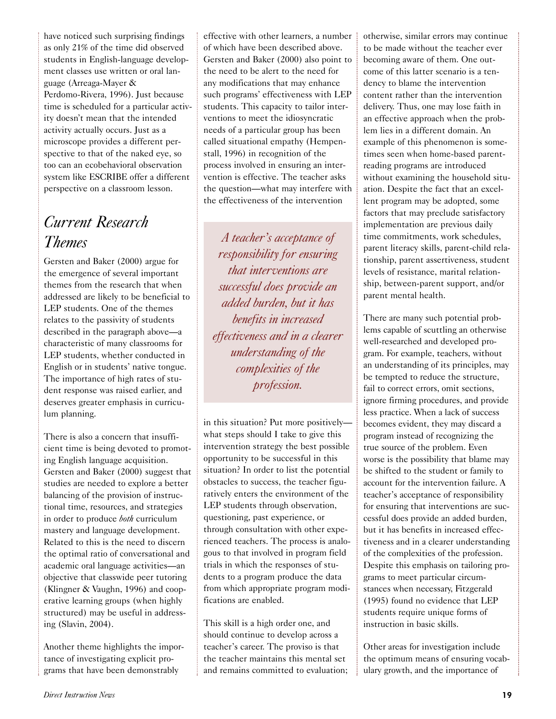have noticed such surprising findings as only 21% of the time did observed students in English-language development classes use written or oral language (Arreaga-Mayer & Perdomo-Rivera, 1996). Just because time is scheduled for a particular activity doesn't mean that the intended activity actually occurs. Just as a microscope provides a different perspective to that of the naked eye, so too can an ecobehavioral observation system like ESCRIBE offer a different perspective on a classroom lesson.

#### *Current Research Themes*

Gersten and Baker (2000) argue for the emergence of several important themes from the research that when addressed are likely to be beneficial to LEP students. One of the themes relates to the passivity of students described in the paragraph above—a characteristic of many classrooms for LEP students, whether conducted in English or in students' native tongue. The importance of high rates of student response was raised earlier, and deserves greater emphasis in curriculum planning.

There is also a concern that insufficient time is being devoted to promoting English language acquisition. Gersten and Baker (2000) suggest that studies are needed to explore a better balancing of the provision of instructional time, resources, and strategies in order to produce *both* curriculum mastery and language development. Related to this is the need to discern the optimal ratio of conversational and academic oral language activities—an objective that classwide peer tutoring (Klingner & Vaughn, 1996) and cooperative learning groups (when highly structured) may be useful in addressing (Slavin, 2004).

Another theme highlights the importance of investigating explicit programs that have been demonstrably

effective with other learners, a number of which have been described above. Gersten and Baker (2000) also point to the need to be alert to the need for any modifications that may enhance such programs' effectiveness with LEP students. This capacity to tailor interventions to meet the idiosyncratic needs of a particular group has been called situational empathy (Hempenstall, 1996) in recognition of the process involved in ensuring an intervention is effective. The teacher asks the question—what may interfere with the effectiveness of the intervention

*A teacher's acceptance of responsibility for ensuring that interventions are successful does provide an added burden, but it has benefits in increased effectiveness and in a clearer understanding of the complexities of the profession.* 

in this situation? Put more positively what steps should I take to give this intervention strategy the best possible opportunity to be successful in this situation? In order to list the potential obstacles to success, the teacher figuratively enters the environment of the LEP students through observation, questioning, past experience, or through consultation with other experienced teachers. The process is analogous to that involved in program field trials in which the responses of students to a program produce the data from which appropriate program modifications are enabled.

This skill is a high order one, and should continue to develop across a teacher's career. The proviso is that the teacher maintains this mental set and remains committed to evaluation; otherwise, similar errors may continue to be made without the teacher ever becoming aware of them. One outcome of this latter scenario is a tendency to blame the intervention content rather than the intervention delivery. Thus, one may lose faith in an effective approach when the problem lies in a different domain. An example of this phenomenon is sometimes seen when home-based parentreading programs are introduced without examining the household situation. Despite the fact that an excellent program may be adopted, some factors that may preclude satisfactory implementation are previous daily time commitments, work schedules, parent literacy skills, parent-child relationship, parent assertiveness, student levels of resistance, marital relationship, between-parent support, and/or parent mental health.

There are many such potential problems capable of scuttling an otherwise well-researched and developed program. For example, teachers, without an understanding of its principles, may be tempted to reduce the structure, fail to correct errors, omit sections, ignore firming procedures, and provide less practice. When a lack of success becomes evident, they may discard a program instead of recognizing the true source of the problem. Even worse is the possibility that blame may be shifted to the student or family to account for the intervention failure. A teacher's acceptance of responsibility for ensuring that interventions are successful does provide an added burden, but it has benefits in increased effectiveness and in a clearer understanding of the complexities of the profession. Despite this emphasis on tailoring programs to meet particular circumstances when necessary, Fitzgerald (1995) found no evidence that LEP students require unique forms of instruction in basic skills.

Other areas for investigation include the optimum means of ensuring vocabulary growth, and the importance of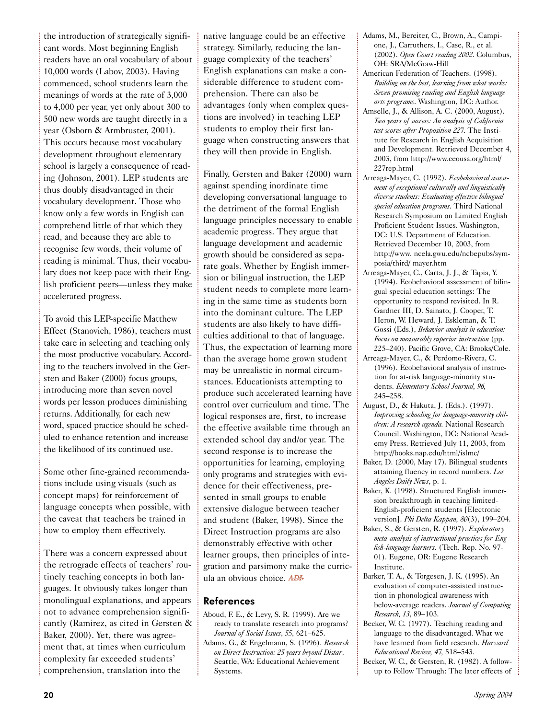the introduction of strategically significant words. Most beginning English readers have an oral vocabulary of about 10,000 words (Labov, 2003). Having commenced, school students learn the meanings of words at the rate of 3,000 to 4,000 per year, yet only about 300 to 500 new words are taught directly in a year (Osborn & Armbruster, 2001). This occurs because most vocabulary development throughout elementary school is largely a consequence of reading (Johnson, 2001). LEP students are thus doubly disadvantaged in their vocabulary development. Those who know only a few words in English can comprehend little of that which they read, and because they are able to recognise few words, their volume of reading is minimal. Thus, their vocabulary does not keep pace with their English proficient peers—unless they make accelerated progress.

To avoid this LEP-specific Matthew Effect (Stanovich, 1986), teachers must take care in selecting and teaching only the most productive vocabulary. According to the teachers involved in the Gersten and Baker (2000) focus groups, introducing more than seven novel words per lesson produces diminishing returns. Additionally, for each new word, spaced practice should be scheduled to enhance retention and increase the likelihood of its continued use.

Some other fine-grained recommendations include using visuals (such as concept maps) for reinforcement of language concepts when possible, with the caveat that teachers be trained in how to employ them effectively.

There was a concern expressed about the retrograde effects of teachers' routinely teaching concepts in both languages. It obviously takes longer than monolingual explanations, and appears not to advance comprehension significantly (Ramirez, as cited in Gersten & Baker, 2000). Yet, there was agreement that, at times when curriculum complexity far exceeded students' comprehension, translation into the

native language could be an effective strategy. Similarly, reducing the language complexity of the teachers' English explanations can make a considerable difference to student comprehension. There can also be advantages (only when complex questions are involved) in teaching LEP students to employ their first language when constructing answers that they will then provide in English.

Finally, Gersten and Baker (2000) warn against spending inordinate time developing conversational language to the detriment of the formal English language principles necessary to enable academic progress. They argue that language development and academic growth should be considered as separate goals. Whether by English immersion or bilingual instruction, the LEP student needs to complete more learning in the same time as students born into the dominant culture. The LEP students are also likely to have difficulties additional to that of language. Thus, the expectation of learning more than the average home grown student may be unrealistic in normal circumstances. Educationists attempting to produce such accelerated learning have control over curriculum and time. The logical responses are, first, to increase the effective available time through an extended school day and/or year. The second response is to increase the opportunities for learning, employing only programs and strategies with evidence for their effectiveness, presented in small groups to enable extensive dialogue between teacher and student (Baker, 1998). Since the Direct Instruction programs are also demonstrably effective with other learner groups, then principles of integration and parsimony make the curricula an obvious choice. ADI

#### References

- Aboud, F. E., & Levy, S. R. (1999). Are we ready to translate research into programs? *Journal of Social Issues*, *55*, 621–625. Adams, G., & Engelmann, S. (1996). *Research*
- *on Direct Instruction: 25 years beyond Distar*. Seattle, WA: Educational Achievement Systems.
- Adams, M., Bereiter, C., Brown, A., Campione, J., Carruthers, I., Case, R., et al. (2002). *Open Court reading 2002*. Columbus, OH: SRA/McGraw-Hill
- American Federation of Teachers. (1998). *Building on the best, learning from what works: Seven promising reading and English language arts programs*. Washington, DC: Author.
- Amselle, J., & Allison, A. C. (2000, August). *Two years of success: An analysis of California test scores after Proposition 227*. The Institute for Research in English Acquisition and Development. Retrieved December 4, 2003, from http://www.ceousa.org/html/ 227rep.html
- Arreaga-Mayer, C. (1992). *Ecobehavioral assessment of exceptional culturally and linguistically diverse students: Evaluating effective bilingual special education programs*. Third National Research Symposium on Limited English Proficient Student Issues. Washington, DC: U.S. Department of Education. Retrieved December 10, 2003, from http://www. ncela.gwu.edu/ncbepubs/symposia/third/ mayer.htm
- Arreaga-Mayer, C., Carta, J. J., & Tapia, Y. (1994). Ecobehavioral assessment of bilingual special education settings: The opportunity to respond revisited. In R. Gardner III, D. Sainato, J. Cooper, T. Heron, W. Heward, J. Eskleman, & T. Gossi (Eds.), *Behavior analysis in education: Focus on measurably superior instruction* (pp. 225–240). Pacific Grove, CA: Brooks/Cole.
- Arreaga-Mayer, C., & Perdomo-Rivera, C. (1996). Ecobehavioral analysis of instruction for at-risk language-minority students. *Elementary School Journal, 96,* 245–258.
- August, D., & Hakuta, J. (Eds.). (1997). *Improving schooling for language-minority children: A research agenda.* National Research Council. Washington, DC: National Academy Press. Retrieved July 11, 2003, from http://books.nap.edu/html/islmc/
- Baker, D. (2000, May 17). Bilingual students attaining fluency in record numbers. *Los Angeles Daily News*, p. 1.
- Baker, K. (1998). Structured English immersion breakthrough in teaching limited-English-proficient students [Electronic version]. *Phi Delta Kappan, 80*(3), 199–204.
- Baker, S., & Gersten, R. (1997). *Exploratory meta-analysis of instructional practices for English-language learners*. (Tech. Rep. No. 97- 01). Eugene, OR: Eugene Research Institute.
- Barker, T. A., & Torgesen, J. K. (1995). An evaluation of computer-assisted instruction in phonological awareness with below-average readers. *Journal of Computing Research, 13*, 89–103.
- Becker, W. C. (1977). Teaching reading and language to the disadvantaged. What we have learned from field research. *Harvard Educational Review, 47,* 518–543.
- Becker, W. C., & Gersten, R. (1982). A followup to Follow Through: The later effects of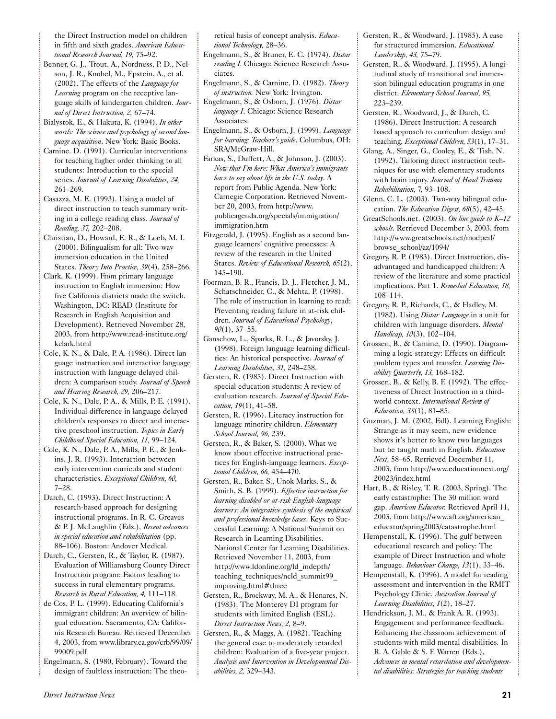the Direct Instruction model on children in fifth and sixth grades. *American Educational Research Journal, 19,* 75–92.

- Benner, G. J., Trout, A., Nordness, P. D., Nelson, J. R., Knobel, M., Epstein, A., et al. (2002). The effects of the *Language for Learning* program on the receptive language skills of kindergarten children. *Journal of Direct Instruction, 2,* 67–74.
- Bialystok, E., & Hakuta, K. (1994). *In other words: The science and psychology of second language acquisition*. New York: Basic Books.
- Carnine. D. (1991). Curricular interventions for teaching higher order thinking to all students: Introduction to the special series. *Journal of Learning Disabilities, 24,* 261–269.
- Casazza, M. E. (1993). Using a model of direct instruction to teach summary writing in a college reading class. *Journal of Reading, 37,* 202–208.
- Christian, D., Howard, E. R., & Loeb, M. I. (2000). Bilingualism for all: Two-way immersion education in the United States. *Theory Into Practice, 39*(4), 258–266.
- Clark, K. (1999). From primary language instruction to English immersion: How five California districts made the switch. Washington, DC: READ (Institute for Research in English Acquisition and Development). Retrieved November 28, 2003, from http://www.read-institute.org/ kclark.html
- Cole, K. N., & Dale, P. A. (1986). Direct language instruction and interactive language instruction with language delayed children: A comparison study. *Journal of Speech and Hearing Research, 29,* 206–217.
- Cole, K. N., Dale, P. A., & Mills, P. E. (1991). Individual difference in language delayed children's responses to direct and interactive preschool instruction. *Topics in Early Childhood Special Education, 11,* 99–124.
- Cole, K. N., Dale, P. A., Mills, P. E., & Jenkins, J. R. (1993). Interaction between early intervention curricula and student characteristics. *Exceptional Children, 60,* 7–28.
- Darch, C. (1993). Direct Instruction: A research-based approach for designing instructional programs. In R. C. Greaves & P. J. McLaughlin (Eds.), *Recent advances in special education and rehabilitation* (pp. 88–106)*.* Boston: Andover Medical.
- Darch, C., Gersten, R., & Taylor, R. (1987). Evaluation of Williamsburg County Direct Instruction program: Factors leading to success in rural elementary programs. *Research in Rural Education, 4,* 111–118.
- de Cos, P. L. (1999). Educating California's immigrant children: An overview of bilingual education. Sacramento, CA: California Research Bureau. Retrieved December 4, 2003, from www.library.ca.gov/crb/99/09/ 99009.pdf
- Engelmann, S. (1980, February). Toward the design of faultless instruction: The theo-

retical basis of concept analysis. *Educational Technology,* 28–36.

- Engelmann, S., & Bruner, E. C. (1974). *Distar reading I.* Chicago: Science Research Associates.
- Engelmann, S., & Carnine, D. (1982). *Theory of instruction.* New York: Irvington.
- Engelmann, S., & Osborn, J. (1976). *Distar language I*. Chicago: Science Research Associates.
- Engelmann, S., & Osborn, J. (1999). *Language for learning: Teachers's guide*. Columbus, OH: SRA/McGraw-Hill.
- Farkas, S., Duffett, A., & Johnson, J. (2003). *Now that I'm here: What America's immigrants have to say about life in the U.S. today*. A report from Public Agenda. New York: Carnegie Corporation. Retrieved November 20, 2003, from http://www. publicagenda.org/specials/immigration/ immigration.htm
- Fitzgerald, J. (1995). English as a second language learners' cognitive processes: A review of the research in the United States. *Review of Educational Research, 65*(2), 145–190.
- Foorman, B. R., Francis, D. J., Fletcher, J. M., Schatschneider, C., & Mehta, P. (1998). The role of instruction in learning to read: Preventing reading failure in at-risk children*. Journal of Educational Psychology*, *90*(1), 37–55.
- Ganschow, L., Sparks, R. L., & Javorsky, J. (1998). Foreign language learning difficulties: An historical perspective. *Journal of Learning Disabilities, 31,* 248–258.
- Gersten, R. (1985). Direct Instruction with special education students: A review of evaluation research. *Journal of Special Education, 19*(1), 41–58.
- Gersten, R. (1996). Literacy instruction for language minority children. *Elementary School Journal, 96,* 239.
- Gersten, R., & Baker, S. (2000). What we know about effective instructional practices for English-language learners. *Exceptional Children, 66,* 454–470.
- Gersten, R., Baker, S., Unok Marks, S., & Smith, S. B. (1999). *Effective instruction for learning disabled or at-risk English-language learners: An integrative synthesis of the empirical and professional knowledge bases*. Keys to Successful Learning: A National Summit on Research in Learning Disabilities. National Center for Learning Disabilities. Retrieved November 11, 2003, from http://www.ldonline.org/ld\_indepth/ teaching techniques/ncld summit99 improving.html#three
- Gersten, R., Brockway, M. A., & Henares, N. (1983). The Monterey DI program for students with limited English (ESL). *Direct Instruction News, 2,* 8–9.
- Gersten, R., & Maggs, A. (1982). Teaching the general case to moderately retarded children: Evaluation of a five-year project. *Analysis and Intervention in Developmental Disabilities, 2,* 329–343.
- Gersten, R., & Woodward, J. (1985). A case for structured immersion. *Educational Leadership, 43,* 75–79.
- Gersten, R., & Woodward, J. (1995). A longitudinal study of transitional and immersion bilingual education programs in one district. *Elementary School Journal, 95,* 223–239.
- Gersten, R., Woodward, J., & Darch, C. (1986). Direct Instruction: A research based approach to curriculum design and teaching. *Exceptional Children, 53*(1), 17–31.
- Glang, A., Singer, G., Cooley, E., & Tish, N. (1992). Tailoring direct instruction techniques for use with elementary students with brain injury. *Journal of Head Trauma Rehabilitation, 7,* 93–108.
- Glenn, C. L. (2003). Two-way bilingual education. *The Education Digest, 68*(5), 42–45.
- GreatSchools.net. (2003). *On line guide to K–12 schools.* Retrieved December 3, 2003, from http://www.greatschools.net/modperl/ browse\_school/az/1094/
- Gregory, R. P. (1983). Direct Instruction, disadvantaged and handicapped children: A review of the literature and some practical implications. Part 1. *Remedial Education, 18,* 108–114.
- Gregory, R. P., Richards, C., & Hadley, M. (1982). Using *Distar Language* in a unit for children with language disorders. *Mental Handicap, 10*(3), 102–104.
- Grossen, B., & Carnine, D. (1990). Diagramming a logic strategy: Effects on difficult problem types and transfer. *Learning Disability Quarterly, 13,* 168–182.
- Grossen, B., & Kelly, B. F. (1992). The effectiveness of Direct Instruction in a thirdworld context. *International Review of Education, 38*(1), 81–85.
- Guzman, J. M. (2002, Fall). Learning English: Strange as it may seem, new evidence shows it's better to know two languages but be taught math in English. *Education Next,* 58–65. Retrieved December 11, 2003, from http://www.educationnext.org/ 20023/index.html
- Hart, B., & Risley, T. R. (2003, Spring). The early catastrophe: The 30 million word gap. *American Educator.* Retrieved April 11, 2003, from http://www.aft.org/american\_ educator/spring2003/catastrophe.html
- Hempenstall, K. (1996). The gulf between educational research and policy: The example of Direct Instruction and whole language. *Behaviour Change, 13*(1), 33–46.
- Hempenstall, K. (1996). A model for reading assessment and intervention in the RMIT Psychology Clinic. *Australian Journal of Learning Disabilities, 1*(2), 18–27.
- Hendrickson, J. M., & Frank A. R. (1993). Engagement and performance feedback: Enhancing the classroom achievement of students with mild mental disabilities. In R. A. Gable & S. F. Warren (Eds.), *Advances in mental retardation and developmental disabilities: Strategies for teaching students*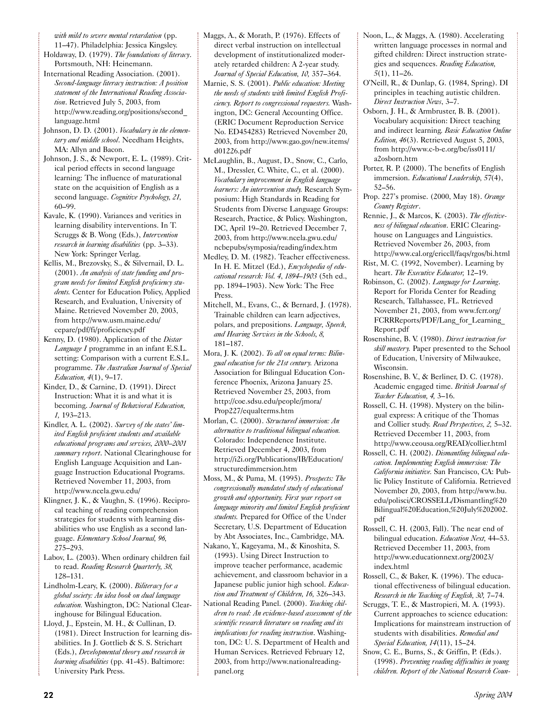*with mild to severe mental retardation* (pp. 11–47). Philadelphia: Jessica Kingsley.

- Holdaway, D. (1979). *The foundations of literacy*. Portsmouth, NH: Heinemann.
- International Reading Association. (2001). *Second-language literacy instruction: A position statement of the International Reading Association*. Retrieved July 5, 2003, from http://www.reading.org/positions/second\_ language.html
- Johnson, D. D. (2001). *Vocabulary in the elementary and middle school*. Needham Heights, MA: Allyn and Bacon.
- Johnson, J. S., & Newport, E. L. (1989). Critical period effects in second language learning: The influence of maturational state on the acquisition of English as a second language. *Cognitive Psychology, 21,* 60–99.
- Kavale, K. (1990). Variances and verities in learning disability interventions. In T. Scruggs & B. Wong (Eds.), *Intervention research in learning disabilities* (pp. 3–33)*.* New York: Springer Verlag.
- Kellis, M., Brezovsky, S., & Silvernail, D. L. (2001). *An analysis of state funding and program needs for limited English proficiency students.* Center for Education Policy, Applied Research, and Evaluation, University of Maine. Retrieved November 20, 2003, from http://www.usm.maine.edu/ cepare/pdf/fi/proficiency.pdf
- Kenny, D. (1980). Application of the *Distar Language I* programme in an infant E.S.L. setting: Comparison with a current E.S.L. programme. *The Australian Journal of Special Education, 4*(1), 9–17.
- Kinder, D., & Carnine, D. (1991). Direct Instruction: What it is and what it is becoming. *Journal of Behavioral Education, 1,* 193–213.
- Kindler, A. L. (2002). *Survey of the states' limited English proficient students and available educational programs and services, 2000–2001 summary report*. National Clearinghouse for English Language Acquisition and Language Instruction Educational Programs. Retrieved November 11, 2003, from http://www.ncela.gwu.edu/
- Klingner, J. K., & Vaughn, S. (1996). Reciprocal teaching of reading comprehension strategies for students with learning disabilities who use English as a second language. *Elementary School Journal, 96,* 275–293.
- Labov, L. (2003). When ordinary children fail to read. *Reading Research Quarterly, 38,* 128–131.
- Lindholm-Leary, K. (2000). *Biliteracy for a global society: An idea book on dual language education.* Washington, DC: National Clearinghouse for Bilingual Education.
- Lloyd, J., Epstein, M. H., & Cullinan, D. (1981). Direct Instruction for learning disabilities. In J. Gottlieb & S. S. Strichart (Eds.), *Developmental theory and research in learning disabilities* (pp. 41-45). Baltimore: University Park Press.
- Maggs, A., & Morath, P. (1976). Effects of direct verbal instruction on intellectual development of institutionalized moderately retarded children: A 2-year study. *Journal of Special Education, 10,* 357–364.
- Marnie, S. S. (2001). *Public education: Meeting the needs of students with limited English Proficiency. Report to congressional requesters.* Washington, DC: General Accounting Office. (ERIC Document Reproduction Service No. ED454283) Retrieved November 20, 2003, from http://www.gao.gov/new.items/ d01226.pdf
- McLaughlin, B., August, D., Snow, C., Carlo, M., Dressler, C. White, C., et al. (2000). *Vocabulary improvement in English language learners: An intervention study.* Research Symposium: High Standards in Reading for Students from Diverse Language Groups: Research, Practice, & Policy. Washington, DC, April 19–20. Retrieved December 7, 2003, from http://www.ncela.gwu.edu/ ncbepubs/symposia/reading/index.htm
- Medley, D. M. (1982). Teacher effectiveness. In H. E. Mitzel (Ed.), *Encyclopedia of educational research: Vol. 4*, *1894–1903* (5th ed., pp. 1894–1903). New York: The Free Press.
- Mitchell, M., Evans, C., & Bernard, J. (1978). Trainable children can learn adjectives, polars, and prepositions. *Language, Speech, and Hearing Services in the Schools, 8,* 181–187.
- Mora, J. K. (2002). *To all on equal terms: Bilingual education for the 21st century.* Arizona Association for Bilingual Education Conference Phoenix, Arizona January 25. Retrieved November 25, 2003, from http://coe.sdsu.edu/people/jmora/ Prop227/equalterms.htm
- Morlan, C. (2000). *Structured immersion: An alternative to traditional bilingual education.* Colorado: Independence Institute. Retrieved December 4, 2003, from http://i2i.org/Publications/IB/Education/ structuredimmersion.htm
- Moss, M., & Puma, M. (1995). *Prospects: The congressionally mandated study of educational growth and opportunity. First year report on language minority and limited English proficient students.* Prepared for Office of the Under Secretary, U.S. Department of Education by Abt Associates, Inc., Cambridge, MA.
- Nakano, Y., Kageyama, M., & Kinoshita, S. (1993). Using Direct Instruction to improve teacher performance, academic achievement, and classroom behavior in a Japanese public junior high school. *Education and Treatment of Children, 16,* 326–343.
- National Reading Panel. (2000). *Teaching children to read: An evidence-based assessment of the scientific research literature on reading and its implications for reading instruction*. Washington, DC: U. S. Department of Health and Human Services. Retrieved February 12, 2003, from http://www.nationalreadingpanel.org
- Noon, L., & Maggs, A. (1980). Accelerating written language processes in normal and gifted children: Direct instruction strategies and sequences. *Reading Education, 5*(1), 11–26.
- O'Neill, R., & Dunlap, G. (1984, Spring). DI principles in teaching autistic children. *Direct Instruction News*, 3–7.
- Osborn, J. H., & Armbruster, B. B. (2001). Vocabulary acquisition: Direct teaching and indirect learning*. Basic Education Online Edition, 46*(3). Retrieved August 5, 2003, from http://www.c-b-e.org/be/iss0111/ a2osborn.htm
- Porter, R. P. (2000). The benefits of English immersion. *Educational Leadership, 57*(4), 52–56.
- Prop. 227's promise. (2000, May 18). *Orange County Register*.
- Rennie, J., & Marcos, K. (2003). *The effectiveness of bilingual education*. ERIC Clearinghouse on Languages and Linguistics. Retrieved November 26, 2003, from http://www.cal.org/ericcll/faqs/rgos/bi.html
- Rist, M. C. (1992, November). Learning by heart. *The Executive Educator,* 12–19.
- Robinson, C. (2002). *Language for Learning*. Report for Florida Center for Reading Research, Tallahassee, FL. Retrieved November 21, 2003, from www.fcrr.org/ FCRRReports/PDF/Lang\_for\_Learning Report.pdf
- Rosenshine, B. V. (1980). *Direct instruction for skill mastery.* Paper presented to the School of Education, University of Milwaukee, Wisconsin.
- Rosenshine, B. V., & Berliner, D. C. (1978). Academic engaged time. *British Journal of Teacher Education, 4,* 3–16.
- Rossell, C. H. (1998). Mystery on the bilingual express: A critique of the Thomas and Collier study. *Read Perspectives, 2,* 5–32. Retrieved December 11, 2003, from http://www.ceousa.org/READ/collier.html
- Rossell, C. H. (2002). *Dismantling bilingual education. Implementing English immersion: The California initiative.* San Francisco, CA: Public Policy Institute of California. Retrieved November 20, 2003, from http://www.bu. edu/polisci/CROSSELL/Dismantling%20 Bilingual%20Education,%20July%202002. pdf
- Rossell, C. H. (2003, Fall). The near end of bilingual education. *Education Next,* 44–53. Retrieved December 11, 2003, from http://www.educationnext.org/20023/ index.html
- Rossell, C., & Baker, K. (1996). The educational effectiveness of bilingual education. *Research in the Teaching of English, 30,* 7–74.
- Scruggs, T. E., & Mastropieri, M. A. (1993). Current approaches to science education: Implications for mainstream instruction of students with disabilities. *Remedial and Special Education, 14*(11), 15–24.
- Snow, C. E., Burns, S., & Griffin, P. (Eds.). (1998). *Preventing reading difficulties in young children. Report of the National Research Coun-*